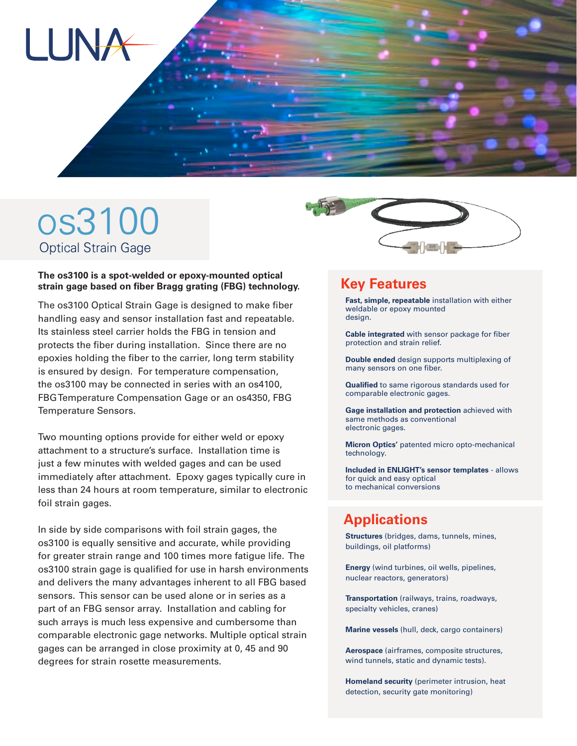

# os3100 **Optical Strain Gage**

#### **The os3100 is a spot-welded or epoxy-mounted optical strain gage based on fiber Bragg grating (FBG) technology.**

The os3100 Optical Strain Gage is designed to make fiber handling easy and sensor installation fast and repeatable. Its stainless steel carrier holds the FBG in tension and protects the fiber during installation. Since there are no epoxies holding the fiber to the carrier, long term stability is ensured by design. For temperature compensation, the os3100 may be connected in series with an os4100, FBG Temperature Compensation Gage or an os4350, FBG Temperature Sensors.

Two mounting options provide for either weld or epoxy attachment to a structure's surface. Installation time is just a few minutes with welded gages and can be used immediately after attachment. Epoxy gages typically cure in less than 24 hours at room temperature, similar to electronic foil strain gages.

In side by side comparisons with foil strain gages, the os3100 is equally sensitive and accurate, while providing for greater strain range and 100 times more fatigue life. The os3100 strain gage is qualified for use in harsh environments and delivers the many advantages inherent to all FBG based sensors. This sensor can be used alone or in series as a part of an FBG sensor array. Installation and cabling for such arrays is much less expensive and cumbersome than comparable electronic gage networks. Multiple optical strain gages can be arranged in close proximity at 0, 45 and 90 degrees for strain rosette measurements.



#### **Key Features**

**Fast, simple, repeatable** installation with either weldable or epoxy mounted design.

**Cable integrated** with sensor package for fiber protection and strain relief.

**Double ended** design supports multiplexing of many sensors on one fiber.

**Qualified** to same rigorous standards used for comparable electronic gages.

**Gage installation and protection** achieved with same methods as conventional electronic gages.

**Micron Optics'** patented micro opto-mechanical technology.

**Included in ENLIGHT's sensor templates** - allows for quick and easy optical to mechanical conversions

### **Applications**

**Structures** (bridges, dams, tunnels, mines, buildings, oil platforms)

**Energy** (wind turbines, oil wells, pipelines, nuclear reactors, generators)

**Transportation** (railways, trains, roadways, specialty vehicles, cranes)

**Marine vessels** (hull, deck, cargo containers)

**Aerospace** (airframes, composite structures, wind tunnels, static and dynamic tests).

**Homeland security** (perimeter intrusion, heat detection, security gate monitoring)